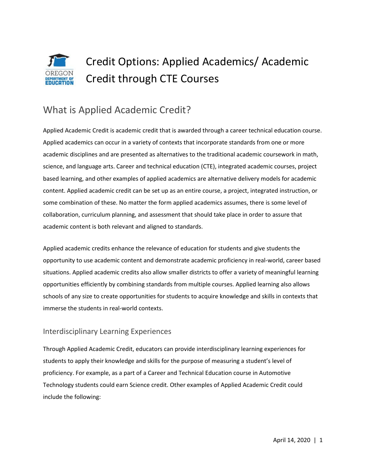# Credit Options: Applied Academics/ Academic Credit through CTE Courses

## What is Applied Academic Credit?

Applied Academic Credit is academic credit that is awarded through a career technical education course. Applied academics can occur in a variety of contexts that incorporate standards from one or more academic disciplines and are presented as alternatives to the traditional academic coursework in math, science, and language arts. Career and technical education (CTE), integrated academic courses, project based learning, and other examples of applied academics are alternative delivery models for academic content. Applied academic credit can be set up as an entire course, a project, integrated instruction, or some combination of these. No matter the form applied academics assumes, there is some level of collaboration, curriculum planning, and assessment that should take place in order to assure that academic content is both relevant and aligned to standards.

Applied academic credits enhance the relevance of education for students and give students the opportunity to use academic content and demonstrate academic proficiency in real-world, career based situations. Applied academic credits also allow smaller districts to offer a variety of meaningful learning opportunities efficiently by combining standards from multiple courses. Applied learning also allows schools of any size to create opportunities for students to acquire knowledge and skills in contexts that immerse the students in real-world contexts.

### Interdisciplinary Learning Experiences

Through Applied Academic Credit, educators can provide interdisciplinary learning experiences for students to apply their knowledge and skills for the purpose of measuring a student's level of proficiency. For example, as a part of a Career and Technical Education course in Automotive Technology students could earn Science credit. Other examples of Applied Academic Credit could include the following: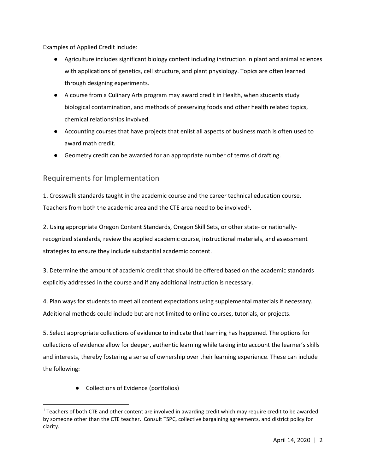Examples of Applied Credit include:

- Agriculture includes significant biology content including instruction in plant and animal sciences with applications of genetics, cell structure, and plant physiology. Topics are often learned through designing experiments.
- A course from a Culinary Arts program may award credit in Health, when students study biological contamination, and methods of preserving foods and other health related topics, chemical relationships involved.
- Accounting courses that have projects that enlist all aspects of business math is often used to award math credit.
- Geometry credit can be awarded for an appropriate number of terms of drafting.

#### Requirements for Implementation

1. Crosswalk standards taught in the academic course and the career technical education course. Teachers from both the academic area and the CTE area need to be involved<sup>1</sup>.

2. Using appropriate Oregon Content Standards, Oregon Skill Sets, or other state- or nationallyrecognized standards, review the applied academic course, instructional materials, and assessment strategies to ensure they include substantial academic content.

3. Determine the amount of academic credit that should be offered based on the academic standards explicitly addressed in the course and if any additional instruction is necessary.

4. Plan ways for students to meet all content expectations using supplemental materials if necessary. Additional methods could include but are not limited to online courses, tutorials, or projects.

5. Select appropriate collections of evidence to indicate that learning has happened. The options for collections of evidence allow for deeper, authentic learning while taking into account the learner's skills and interests, thereby fostering a sense of ownership over their learning experience. These can include the following:

● Collections of Evidence (portfolios)

 $\overline{a}$ 

<span id="page-1-0"></span> $1$  Teachers of both CTE and other content are involved in awarding credit which may require credit to be awarded by someone other than the CTE teacher. Consult TSPC, collective bargaining agreements, and district policy for clarity.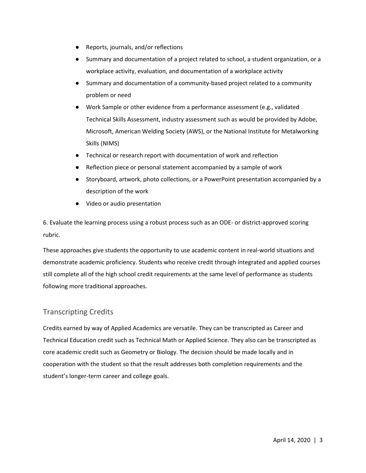- Reports, journals, and/or reflections
- Summary and documentation of a project related to school, a student organization, or a workplace activity, evaluation, and documentation of a workplace activity
- Summary and documentation of a community-based project related to a community problem or need
- Work Sample or other evidence from a performance assessment (e.g., validated Technical Skills Assessment, industry assessment such as would be provided by Adobe, Microsoft, American Welding Society (AWS), or the National Institute for Metalworking Skills (NIMS)
- Technical or research report with documentation of work and reflection
- Reflection piece or personal statement accompanied by a sample of work
- Storyboard, artwork, photo collections, or a PowerPoint presentation accompanied by a description of the work
- Video or audio presentation

6. Evaluate the learning process using a robust process such as an ODE- or district-approved scoring rubric.

These approaches give students the opportunity to use academic content in real-world situations and demonstrate academic proficiency. Students who receive credit through integrated and applied courses still complete all of the high school credit requirements at the same level of performance as students following more traditional approaches.

### Transcripting Credits

Credits earned by way of Applied Academics are versatile. They can be transcripted as Career and Technical Education credit such as Technical Math or Applied Science. They also can be transcripted as core academic credit such as Geometry or Biology. The decision should be made locally and in cooperation with the student so that the result addresses both completion requirements and the student's longer-term career and college goals.